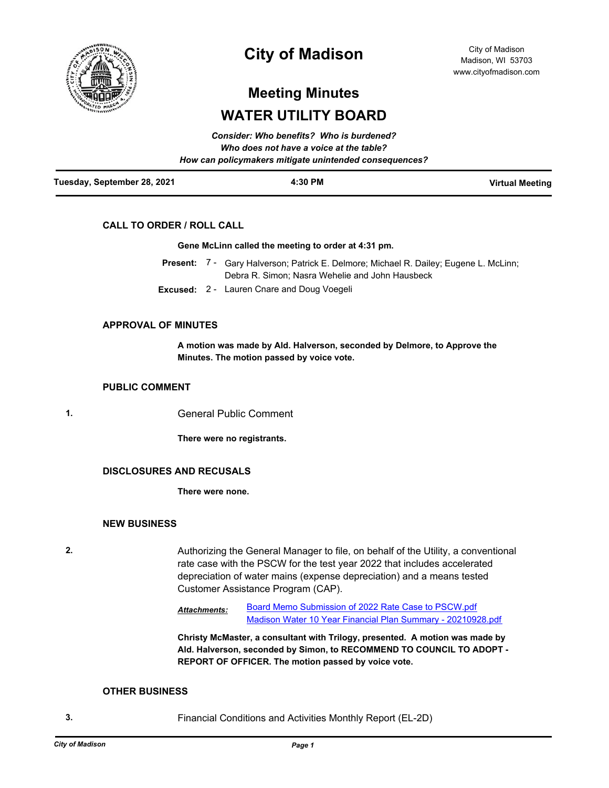

# **City of Madison**

City of Madison Madison, WI 53703 www.cityofmadison.com

# **Meeting Minutes WATER UTILITY BOARD**

|                             | Consider: Who benefits? Who is burdened?               |                        |
|-----------------------------|--------------------------------------------------------|------------------------|
|                             | Who does not have a voice at the table?                |                        |
|                             | How can policymakers mitigate unintended consequences? |                        |
| Tuesday, September 28, 2021 | 4:30 PM                                                | <b>Virtual Meeting</b> |

# **CALL TO ORDER / ROLL CALL**

### **Gene McLinn called the meeting to order at 4:31 pm.**

- Present: 7 Gary Halverson; Patrick E. Delmore; Michael R. Dailey; Eugene L. McLinn; Debra R. Simon; Nasra Wehelie and John Hausbeck
- **Excused:** 2 Lauren Cnare and Doug Voegeli

# **APPROVAL OF MINUTES**

**A motion was made by Ald. Halverson, seconded by Delmore, to Approve the Minutes. The motion passed by voice vote.**

### **PUBLIC COMMENT**

**1.** General Public Comment

**There were no registrants.**

# **DISCLOSURES AND RECUSALS**

**There were none.**

#### **NEW BUSINESS**

**2.** Authorizing the General Manager to file, on behalf of the Utility, a conventional rate case with the PSCW for the test year 2022 that includes accelerated depreciation of water mains (expense depreciation) and a means tested Customer Assistance Program (CAP).

> [Board Memo Submission of 2022 Rate Case to PSCW.pdf](http://madison.legistar.com/gateway.aspx?M=F&ID=ac50626f-ca70-48df-9e0d-7a70c6186a41.pdf) [Madison Water 10 Year Financial Plan Summary - 20210928.pdf](http://madison.legistar.com/gateway.aspx?M=F&ID=03dcd057-aab3-4837-be96-dc14bbb54a25.pdf) *Attachments:*

**Christy McMaster, a consultant with Trilogy, presented. A motion was made by Ald. Halverson, seconded by Simon, to RECOMMEND TO COUNCIL TO ADOPT - REPORT OF OFFICER. The motion passed by voice vote.**

#### **OTHER BUSINESS**

**3.** Financial Conditions and Activities Monthly Report (EL-2D)